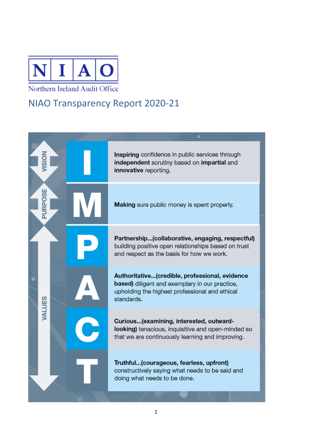

## Northern Ireland Audit Office

## NIAO Transparency Report 2020-21

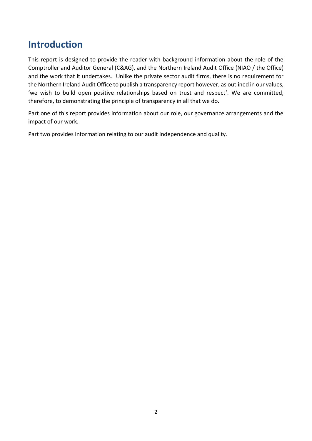## **Introduction**

This report is designed to provide the reader with background information about the role of the Comptroller and Auditor General (C&AG), and the Northern Ireland Audit Office (NIAO / the Office) and the work that it undertakes. Unlike the private sector audit firms, there is no requirement for the Northern Ireland Audit Office to publish a transparency report however, as outlined in our values, 'we wish to build open positive relationships based on trust and respect'. We are committed, therefore, to demonstrating the principle of transparency in all that we do.

Part one of this report provides information about our role, our governance arrangements and the impact of our work.

Part two provides information relating to our audit independence and quality.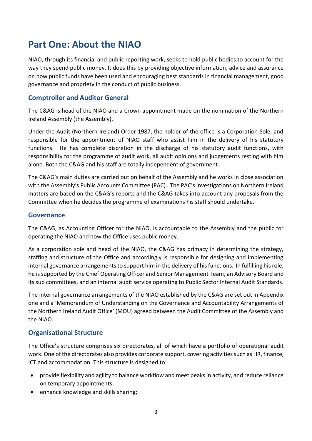# **Part One: About the NIAO**

NIAO, through its financial and public reporting work, seeks to hold public bodies to account for the way they spend public money. It does this by providing objective information, advice and assurance on how public funds have been used and encouraging best standards in financial management, good governance and propriety in the conduct of public business.

## **Comptroller and Auditor General**

The C&AG is head of the NIAO and a Crown appointment made on the nomination of the Northern Ireland Assembly (the Assembly).

Under the Audit (Northern Ireland) Order 1987, the holder of the office is a Corporation Sole, and responsible for the appointment of NIAO staff who assist him in the delivery of his statutory functions. He has complete discretion in the discharge of his statutory audit functions, with responsibility for the programme of audit work, all audit opinions and judgements resting with him alone. Both the C&AG and his staff are totally independent of government.

The C&AG's main duties are carried out on behalf of the Assembly and he works in close association with the Assembly's Public Accounts Committee (PAC). The PAC's investigations on Northern Ireland matters are based on the C&AG's reports and the C&AG takes into account any proposals from the Committee when he decides the programme of examinations his staff should undertake.

### **Governance**

The C&AG, as Accounting Officer for the NIAO, is accountable to the Assembly and the public for operating the NIAO and how the Office uses public money.

As a corporation sole and head of the NIAO, the C&AG has primacy in determining the strategy, staffing and structure of the Office and accordingly is responsible for designing and implementing internal governance arrangements to support him in the delivery of his functions. In fulfilling his role, he is supported by the Chief Operating Officer and Senior Management Team, an Advisory Board and its sub committees, and an internal audit service operating to Public Sector Internal Audit Standards.

The internal governance arrangements of the NIAO established by the C&AG are set out in Appendix one and a 'Memorandum of Understanding on the Governance and Accountability Arrangements of the Northern Ireland Audit Office' (MOU) agreed between the Audit Committee of the Assembly and the NIAO.

## **Organisational Structure**

The Office's structure comprises six directorates, all of which have a portfolio of operational audit work. One of the directorates also provides corporate support, covering activities such as HR, finance, ICT and accommodation. This structure is designed to:

- provide flexibility and agility to balance workflow and meet peaks in activity, and reduce reliance on temporary appointments;
- enhance knowledge and skills sharing;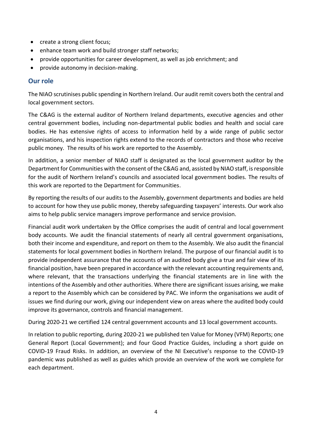- create a strong client focus;
- enhance team work and build stronger staff networks;
- provide opportunities for career development, as well as job enrichment; and
- provide autonomy in decision-making.

### **Our role**

The NIAO scrutinises public spending in Northern Ireland. Our audit remit covers both the central and local government sectors.

The C&AG is the external auditor of Northern Ireland departments, executive agencies and other central government bodies, including non-departmental public bodies and health and social care bodies. He has extensive rights of access to information held by a wide range of public sector organisations, and his inspection rights extend to the records of contractors and those who receive public money. The results of his work are reported to the Assembly.

In addition, a senior member of NIAO staff is designated as the local government auditor by the Department for Communities with the consent of the C&AG and, assisted by NIAO staff, is responsible for the audit of Northern Ireland's councils and associated local government bodies. The results of this work are reported to the Department for Communities.

By reporting the results of our audits to the Assembly, government departments and bodies are held to account for how they use public money, thereby safeguarding taxpayers' interests. Our work also aims to help public service managers improve performance and service provision.

Financial audit work undertaken by the Office comprises the audit of central and local government body accounts. We audit the financial statements of nearly all central government organisations, both their income and expenditure, and report on them to the Assembly. We also audit the financial statements for local government bodies in Northern Ireland. The purpose of our financial audit is to provide independent assurance that the accounts of an audited body give a true and fair view of its financial position, have been prepared in accordance with the relevant accounting requirements and, where relevant, that the transactions underlying the financial statements are in line with the intentions of the Assembly and other authorities. Where there are significant issues arising, we make a report to the Assembly which can be considered by PAC. We inform the organisations we audit of issues we find during our work, giving our independent view on areas where the audited body could improve its governance, controls and financial management.

During 2020-21 we certified 124 central government accounts and 13 local government accounts.

In relation to public reporting, during 2020-21 we published ten Value for Money (VFM) Reports; one General Report (Local Government); and four Good Practice Guides, including a short guide on COVID-19 Fraud Risks. In addition, an overview of the NI Executive's response to the COVID-19 pandemic was published as well as guides which provide an overview of the work we complete for each department.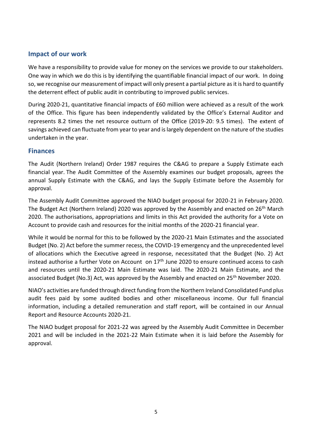## **Impact of our work**

We have a responsibility to provide value for money on the services we provide to our stakeholders. One way in which we do this is by identifying the quantifiable financial impact of our work. In doing so, we recognise our measurement of impact will only present a partial picture as it is hard to quantify the deterrent effect of public audit in contributing to improved public services.

During 2020-21, quantitative financial impacts of £60 million were achieved as a result of the work of the Office. This figure has been independently validated by the Office's External Auditor and represents 8.2 times the net resource outturn of the Office (2019-20: 9.5 times). The extent of savings achieved can fluctuate from year to year and is largely dependent on the nature of the studies undertaken in the year.

## **Finances**

The Audit (Northern Ireland) Order 1987 requires the C&AG to prepare a Supply Estimate each financial year. The Audit Committee of the Assembly examines our budget proposals, agrees the annual Supply Estimate with the C&AG, and lays the Supply Estimate before the Assembly for approval.

The Assembly Audit Committee approved the NIAO budget proposal for 2020-21 in February 2020. The Budget Act (Northern Ireland) 2020 was approved by the Assembly and enacted on 26<sup>th</sup> March 2020. The authorisations, appropriations and limits in this Act provided the authority for a Vote on Account to provide cash and resources for the initial months of the 2020-21 financial year.

While it would be normal for this to be followed by the 2020-21 Main Estimates and the associated Budget (No. 2) Act before the summer recess, the COVID-19 emergency and the unprecedented level of allocations which the Executive agreed in response, necessitated that the Budget (No. 2) Act instead authorise a further Vote on Account on  $17<sup>th</sup>$  June 2020 to ensure continued access to cash and resources until the 2020-21 Main Estimate was laid. The 2020-21 Main Estimate, and the associated Budget (No.3) Act, was approved by the Assembly and enacted on 25<sup>th</sup> November 2020.

NIAO's activities are funded through direct funding from the Northern Ireland Consolidated Fund plus audit fees paid by some audited bodies and other miscellaneous income. Our full financial information, including a detailed remuneration and staff report, will be contained in our Annual Report and Resource Accounts 2020-21.

The NIAO budget proposal for 2021-22 was agreed by the Assembly Audit Committee in December 2021 and will be included in the 2021-22 Main Estimate when it is laid before the Assembly for approval.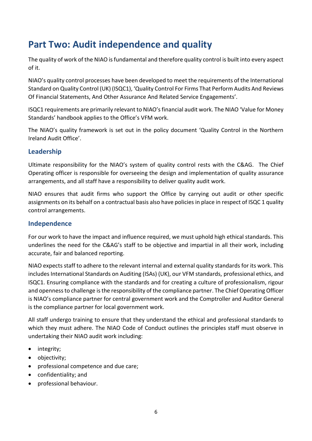# **Part Two: Audit independence and quality**

The quality of work of the NIAO is fundamental and therefore quality control is built into every aspect of it.

NIAO's quality control processes have been developed to meet the requirements of the International Standard on Quality Control (UK) (ISQC1), 'Quality Control For Firms That Perform Audits And Reviews Of Financial Statements, And Other Assurance And Related Service Engagements'.

ISQC1 requirements are primarily relevant to NIAO's financial audit work. The NIAO 'Value for Money Standards' handbook applies to the Office's VFM work.

The NIAO's quality framework is set out in the policy document 'Quality Control in the Northern Ireland Audit Office'.

## **Leadership**

Ultimate responsibility for the NIAO's system of quality control rests with the C&AG. The Chief Operating officer is responsible for overseeing the design and implementation of quality assurance arrangements, and all staff have a responsibility to deliver quality audit work.

NIAO ensures that audit firms who support the Office by carrying out audit or other specific assignments on its behalf on a contractual basis also have policies in place in respect of ISQC 1 quality control arrangements.

## **Independence**

For our work to have the impact and influence required, we must uphold high ethical standards. This underlines the need for the C&AG's staff to be objective and impartial in all their work, including accurate, fair and balanced reporting.

NIAO expects staff to adhere to the relevant internal and external quality standards for its work. This includes International Standards on Auditing (ISAs) (UK), our VFM standards, professional ethics, and ISQC1. Ensuring compliance with the standards and for creating a culture of professionalism, rigour and openness to challenge is the responsibility of the compliance partner. The Chief Operating Officer is NIAO's compliance partner for central government work and the Comptroller and Auditor General is the compliance partner for local government work.

All staff undergo training to ensure that they understand the ethical and professional standards to which they must adhere. The NIAO Code of Conduct outlines the principles staff must observe in undertaking their NIAO audit work including:

- integrity;
- objectivity;
- professional competence and due care;
- confidentiality; and
- professional behaviour.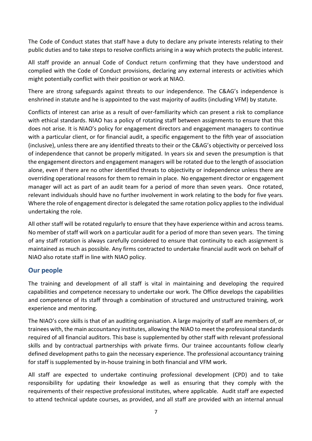The Code of Conduct states that staff have a duty to declare any private interests relating to their public duties and to take steps to resolve conflicts arising in a way which protects the public interest.

All staff provide an annual Code of Conduct return confirming that they have understood and complied with the Code of Conduct provisions, declaring any external interests or activities which might potentially conflict with their position or work at NIAO.

There are strong safeguards against threats to our independence. The C&AG's independence is enshrined in statute and he is appointed to the vast majority of audits (including VFM) by statute.

Conflicts of interest can arise as a result of over-familiarity which can present a risk to compliance with ethical standards. NIAO has a policy of rotating staff between assignments to ensure that this does not arise. It is NIAO's policy for engagement directors and engagement managers to continue with a particular client, or for financial audit, a specific engagement to the fifth year of association (inclusive), unless there are any identified threats to their or the C&AG's objectivity or perceived loss of independence that cannot be properly mitigated. In years six and seven the presumption is that the engagement directors and engagement managers will be rotated due to the length of association alone, even if there are no other identified threats to objectivity or independence unless there are overriding operational reasons for them to remain in place. No engagement director or engagement manager will act as part of an audit team for a period of more than seven years. Once rotated, relevant individuals should have no further involvement in work relating to the body for five years. Where the role of engagement director is delegated the same rotation policy applies to the individual undertaking the role.

All other staff will be rotated regularly to ensure that they have experience within and across teams. No member of staff will work on a particular audit for a period of more than seven years. The timing of any staff rotation is always carefully considered to ensure that continuity to each assignment is maintained as much as possible. Any firms contracted to undertake financial audit work on behalf of NIAO also rotate staff in line with NIAO policy.

## **Our people**

The training and development of all staff is vital in maintaining and developing the required capabilities and competence necessary to undertake our work. The Office develops the capabilities and competence of its staff through a combination of structured and unstructured training, work experience and mentoring.

The NIAO's core skills is that of an auditing organisation. A large majority of staff are members of, or trainees with, the main accountancy institutes, allowing the NIAO to meet the professional standards required of all financial auditors. This base is supplemented by other staff with relevant professional skills and by contractual partnerships with private firms. Our trainee accountants follow clearly defined development paths to gain the necessary experience. The professional accountancy training for staff is supplemented by in-house training in both financial and VFM work.

All staff are expected to undertake continuing professional development (CPD) and to take responsibility for updating their knowledge as well as ensuring that they comply with the requirements of their respective professional institutes, where applicable. Audit staff are expected to attend technical update courses, as provided, and all staff are provided with an internal annual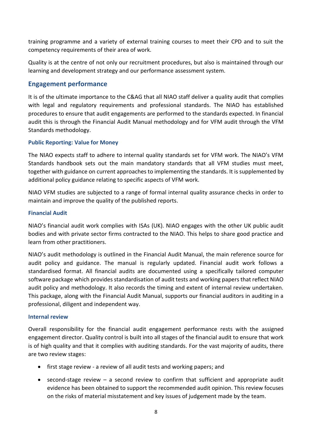training programme and a variety of external training courses to meet their CPD and to suit the competency requirements of their area of work.

Quality is at the centre of not only our recruitment procedures, but also is maintained through our learning and development strategy and our performance assessment system.

## **Engagement performance**

It is of the ultimate importance to the C&AG that all NIAO staff deliver a quality audit that complies with legal and regulatory requirements and professional standards. The NIAO has established procedures to ensure that audit engagements are performed to the standards expected. In financial audit this is through the Financial Audit Manual methodology and for VFM audit through the VFM Standards methodology.

#### **Public Reporting: Value for Money**

The NIAO expects staff to adhere to internal quality standards set for VFM work. The NIAO's VFM Standards handbook sets out the main mandatory standards that all VFM studies must meet, together with guidance on current approaches to implementing the standards. It is supplemented by additional policy guidance relating to specific aspects of VFM work.

NIAO VFM studies are subjected to a range of formal internal quality assurance checks in order to maintain and improve the quality of the published reports.

#### **Financial Audit**

NIAO's financial audit work complies with ISAs (UK). NIAO engages with the other UK public audit bodies and with private sector firms contracted to the NIAO. This helps to share good practice and learn from other practitioners.

NIAO's audit methodology is outlined in the Financial Audit Manual, the main reference source for audit policy and guidance. The manual is regularly updated. Financial audit work follows a standardised format. All financial audits are documented using a specifically tailored computer software package which provides standardisation of audit tests and working papers that reflect NIAO audit policy and methodology. It also records the timing and extent of internal review undertaken. This package, along with the Financial Audit Manual, supports our financial auditors in auditing in a professional, diligent and independent way.

#### **Internal review**

Overall responsibility for the financial audit engagement performance rests with the assigned engagement director. Quality control is built into all stages of the financial audit to ensure that work is of high quality and that it complies with auditing standards. For the vast majority of audits, there are two review stages:

- first stage review a review of all audit tests and working papers; and
- $\bullet$  second-stage review a second review to confirm that sufficient and appropriate audit evidence has been obtained to support the recommended audit opinion. This review focuses on the risks of material misstatement and key issues of judgement made by the team.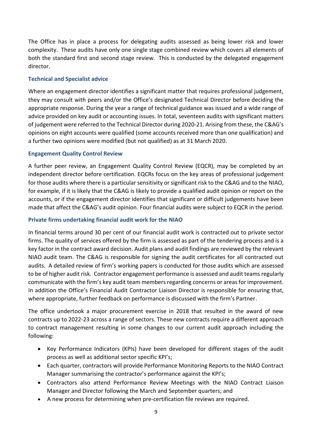The Office has in place a process for delegating audits assessed as being lower risk and lower complexity. These audits have only one single stage combined review which covers all elements of both the standard first and second stage review. This is conducted by the delegated engagement director.

#### **Technical and Specialist advice**

Where an engagement director identifies a significant matter that requires professional judgement, they may consult with peers and/or the Office's designated Technical Director before deciding the appropriate response. During the year a range of technical guidance was issued and a wide range of advice provided on key audit or accounting issues. In total, seventeen audits with significant matters of judgement were referred to the Technical Director during 2020-21. Arising from these, the C&AG's opinions on eight accounts were qualified (some accounts received more than one qualification) and a further two opinions were modified (but not qualified) as at 31 March 2020.

### **Engagement Quality Control Review**

A further peer review, an Engagement Quality Control Review (EQCR), may be completed by an independent director before certification. EQCRs focus on the key areas of professional judgement for those audits where there is a particular sensitivity or significant risk to the C&AG and to the NIAO, for example, if it is likely that the C&AG is likely to provide a qualified audit opinion or report on the accounts, or if the engagement director identifies that significant or difficult judgements have been made that affect the C&AG's audit opinion. Four financial audits were subject to EQCR in the period.

### **Private firms undertaking financial audit work for the NIAO**

In financial terms around 30 per cent of our financial audit work is contracted out to private sector firms. The quality of services offered by the firm is assessed as part of the tendering process and is a key factor in the contract award decision. Audit plans and audit findings are reviewed by the relevant NIAO audit team. The C&AG is responsible for signing the audit certificates for all contracted out audits. A detailed review of firm's working papers is conducted for those audits which are assessed to be of higher audit risk. Contractor engagement performance is assessed and audit teams regularly communicate with the firm's key audit team members regarding concerns or areas for improvement. In addition the Office's Financial Audit Contractor Liaison Director is responsible for ensuring that, where appropriate, further feedback on performance is discussed with the firm's Partner.

The office undertook a major procurement exercise in 2018 that resulted in the award of new contracts up to 2022-23 across a range of sectors. These new contracts require a different approach to contract management resulting in some changes to our current audit approach including the following:

- Key Performance Indicators (KPIs) have been developed for different stages of the audit process as well as additional sector specific KPI's;
- Each quarter, contractors will provide Performance Monitoring Reports to the NIAO Contract Manager summarising the contractor's performance against the KPI's;
- Contractors also attend Performance Review Meetings with the NIAO Contract Liaison Manager and Director following the March and September quarters; and
- A new process for determining when pre-certification file reviews are required.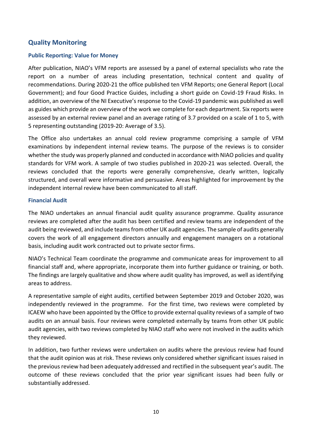## **Quality Monitoring**

#### **Public Reporting: Value for Money**

After publication, NIAO's VFM reports are assessed by a panel of external specialists who rate the report on a number of areas including presentation, technical content and quality of recommendations. During 2020-21 the office published ten VFM Reports; one General Report (Local Government); and four Good Practice Guides, including a short guide on Covid-19 Fraud Risks. In addition, an overview of the NI Executive's response to the Covid-19 pandemic was published as well as guides which provide an overview of the work we complete for each department. Six reports were assessed by an external review panel and an average rating of 3.7 provided on a scale of 1 to 5, with 5 representing outstanding (2019-20: Average of 3.5).

The Office also undertakes an annual cold review programme comprising a sample of VFM examinations by independent internal review teams. The purpose of the reviews is to consider whether the study was properly planned and conducted in accordance with NIAO policies and quality standards for VFM work. A sample of two studies published in 2020-21 was selected. Overall, the reviews concluded that the reports were generally comprehensive, clearly written, logically structured, and overall were informative and persuasive. Areas highlighted for improvement by the independent internal review have been communicated to all staff.

#### **Financial Audit**

The NIAO undertakes an annual financial audit quality assurance programme. Quality assurance reviews are completed after the audit has been certified and review teams are independent of the audit being reviewed, and include teams from other UK audit agencies. The sample of audits generally covers the work of all engagement directors annually and engagement managers on a rotational basis, including audit work contracted out to private sector firms.

NIAO's Technical Team coordinate the programme and communicate areas for improvement to all financial staff and, where appropriate, incorporate them into further guidance or training, or both. The findings are largely qualitative and show where audit quality has improved, as well as identifying areas to address.

A representative sample of eight audits, certified between September 2019 and October 2020, was independently reviewed in the programme. For the first time, two reviews were completed by ICAEW who have been appointed by the Office to provide external quality reviews of a sample of two audits on an annual basis. Four reviews were completed externally by teams from other UK public audit agencies, with two reviews completed by NIAO staff who were not involved in the audits which they reviewed.

In addition, two further reviews were undertaken on audits where the previous review had found that the audit opinion was at risk. These reviews only considered whether significant issues raised in the previous review had been adequately addressed and rectified in the subsequent year's audit. The outcome of these reviews concluded that the prior year significant issues had been fully or substantially addressed.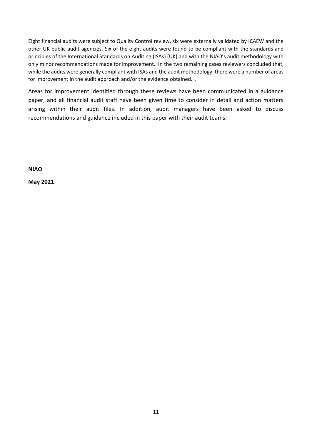Eight financial audits were subject to Quality Control review, six were externally validated by ICAEW and the other UK public audit agencies. Six of the eight audits were found to be compliant with the standards and principles of the International Standards on Auditing (ISAs) (UK) and with the NIAO's audit methodology with only minor recommendations made for improvement. In the two remaining cases reviewers concluded that, while the audits were generally compliant with ISAs and the audit methodology, there were a number of areas for improvement in the audit approach and/or the evidence obtained. .

Areas for improvement identified through these reviews have been communicated in a guidance paper, and all financial audit staff have been given time to consider in detail and action matters arising within their audit files. In addition, audit managers have been asked to discuss recommendations and guidance included in this paper with their audit teams.

**NIAO**

**May 2021**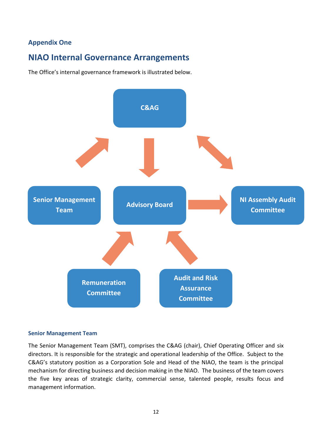## **Appendix One**

## **NIAO Internal Governance Arrangements**

The Office's internal governance framework is illustrated below.



#### **Senior Management Team**

The Senior Management Team (SMT), comprises the C&AG (chair), Chief Operating Officer and six directors. It is responsible for the strategic and operational leadership of the Office. Subject to the C&AG's statutory position as a Corporation Sole and Head of the NIAO, the team is the principal mechanism for directing business and decision making in the NIAO. The business of the team covers the five key areas of strategic clarity, commercial sense, talented people, results focus and management information.